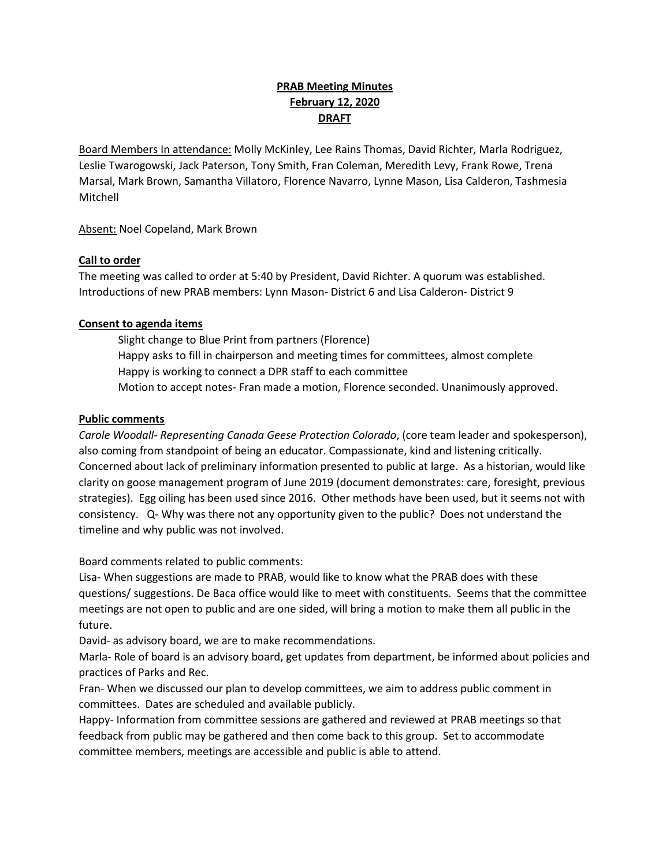# **PRAB Meeting Minutes February 12, 2020 DRAFT**

Board Members In attendance: Molly McKinley, Lee Rains Thomas, David Richter, Marla Rodriguez, Leslie Twarogowski, Jack Paterson, Tony Smith, Fran Coleman, Meredith Levy, Frank Rowe, Trena Marsal, Mark Brown, Samantha Villatoro, Florence Navarro, Lynne Mason, Lisa Calderon, Tashmesia Mitchell

Absent: Noel Copeland, Mark Brown

## **Call to order**

The meeting was called to order at 5:40 by President, David Richter. A quorum was established. Introductions of new PRAB members: Lynn Mason- District 6 and Lisa Calderon- District 9

## **Consent to agenda items**

Slight change to Blue Print from partners (Florence) Happy asks to fill in chairperson and meeting times for committees, almost complete Happy is working to connect a DPR staff to each committee Motion to accept notes- Fran made a motion, Florence seconded. Unanimously approved.

#### **Public comments**

*Carole Woodall- Representing Canada Geese Protection Colorado*, (core team leader and spokesperson), also coming from standpoint of being an educator. Compassionate, kind and listening critically. Concerned about lack of preliminary information presented to public at large. As a historian, would like clarity on goose management program of June 2019 (document demonstrates: care, foresight, previous strategies). Egg oiling has been used since 2016. Other methods have been used, but it seems not with consistency. Q- Why was there not any opportunity given to the public? Does not understand the timeline and why public was not involved.

Board comments related to public comments:

Lisa- When suggestions are made to PRAB, would like to know what the PRAB does with these questions/ suggestions. De Baca office would like to meet with constituents. Seems that the committee meetings are not open to public and are one sided, will bring a motion to make them all public in the future.

David- as advisory board, we are to make recommendations.

Marla- Role of board is an advisory board, get updates from department, be informed about policies and practices of Parks and Rec.

Fran- When we discussed our plan to develop committees, we aim to address public comment in committees. Dates are scheduled and available publicly.

Happy- Information from committee sessions are gathered and reviewed at PRAB meetings so that feedback from public may be gathered and then come back to this group. Set to accommodate committee members, meetings are accessible and public is able to attend.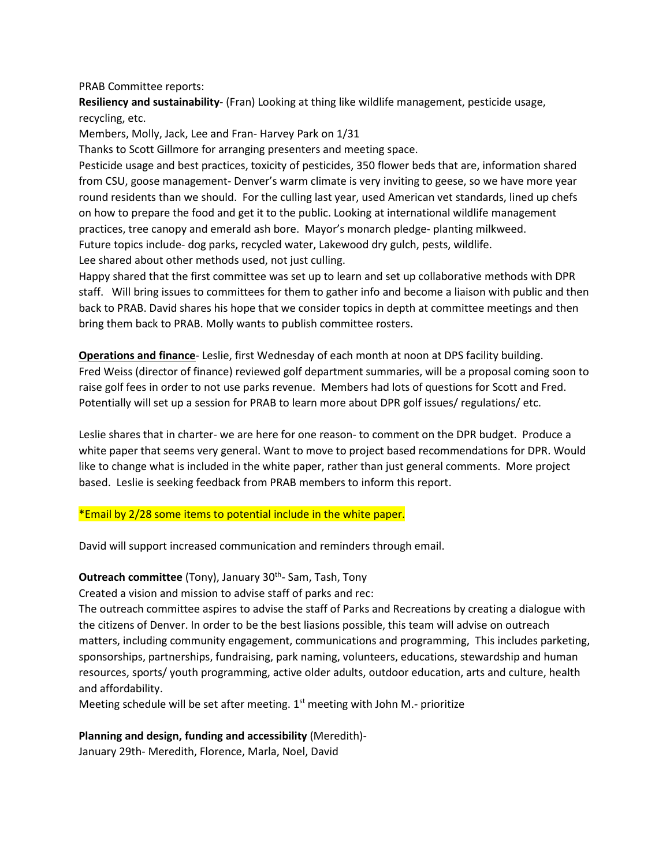PRAB Committee reports:

**Resiliency and sustainability**- (Fran) Looking at thing like wildlife management, pesticide usage, recycling, etc.

Members, Molly, Jack, Lee and Fran- Harvey Park on 1/31

Thanks to Scott Gillmore for arranging presenters and meeting space.

Pesticide usage and best practices, toxicity of pesticides, 350 flower beds that are, information shared from CSU, goose management- Denver's warm climate is very inviting to geese, so we have more year round residents than we should. For the culling last year, used American vet standards, lined up chefs on how to prepare the food and get it to the public. Looking at international wildlife management practices, tree canopy and emerald ash bore. Mayor's monarch pledge- planting milkweed. Future topics include- dog parks, recycled water, Lakewood dry gulch, pests, wildlife. Lee shared about other methods used, not just culling.

Happy shared that the first committee was set up to learn and set up collaborative methods with DPR staff. Will bring issues to committees for them to gather info and become a liaison with public and then back to PRAB. David shares his hope that we consider topics in depth at committee meetings and then bring them back to PRAB. Molly wants to publish committee rosters.

**Operations and finance**- Leslie, first Wednesday of each month at noon at DPS facility building. Fred Weiss (director of finance) reviewed golf department summaries, will be a proposal coming soon to raise golf fees in order to not use parks revenue. Members had lots of questions for Scott and Fred. Potentially will set up a session for PRAB to learn more about DPR golf issues/ regulations/ etc.

Leslie shares that in charter- we are here for one reason- to comment on the DPR budget. Produce a white paper that seems very general. Want to move to project based recommendations for DPR. Would like to change what is included in the white paper, rather than just general comments. More project based. Leslie is seeking feedback from PRAB members to inform this report.

\*Email by 2/28 some items to potential include in the white paper.

David will support increased communication and reminders through email.

#### **Outreach committee** (Tony), January 30<sup>th</sup>- Sam, Tash, Tony

Created a vision and mission to advise staff of parks and rec:

The outreach committee aspires to advise the staff of Parks and Recreations by creating a dialogue with the citizens of Denver. In order to be the best liasions possible, this team will advise on outreach matters, including community engagement, communications and programming, This includes parketing, sponsorships, partnerships, fundraising, park naming, volunteers, educations, stewardship and human resources, sports/ youth programming, active older adults, outdoor education, arts and culture, health and affordability.

Meeting schedule will be set after meeting.  $1<sup>st</sup>$  meeting with John M.- prioritize

#### **Planning and design, funding and accessibility** (Meredith)-

January 29th- Meredith, Florence, Marla, Noel, David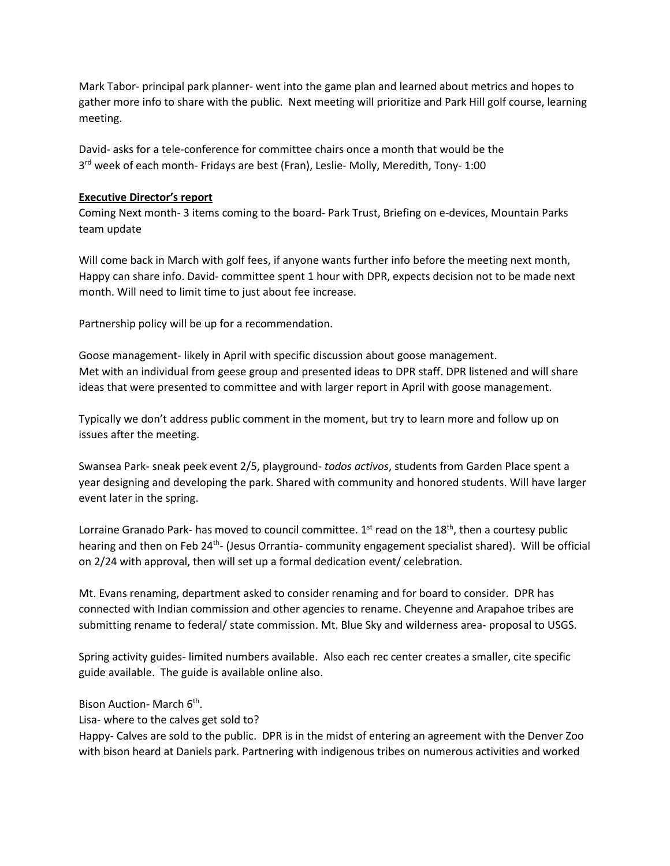Mark Tabor- principal park planner- went into the game plan and learned about metrics and hopes to gather more info to share with the public. Next meeting will prioritize and Park Hill golf course, learning meeting.

David- asks for a tele-conference for committee chairs once a month that would be the 3<sup>rd</sup> week of each month- Fridays are best (Fran), Leslie- Molly, Meredith, Tony-1:00

### **Executive Director's report**

Coming Next month- 3 items coming to the board- Park Trust, Briefing on e-devices, Mountain Parks team update

Will come back in March with golf fees, if anyone wants further info before the meeting next month, Happy can share info. David- committee spent 1 hour with DPR, expects decision not to be made next month. Will need to limit time to just about fee increase.

Partnership policy will be up for a recommendation.

Goose management- likely in April with specific discussion about goose management. Met with an individual from geese group and presented ideas to DPR staff. DPR listened and will share ideas that were presented to committee and with larger report in April with goose management.

Typically we don't address public comment in the moment, but try to learn more and follow up on issues after the meeting.

Swansea Park- sneak peek event 2/5, playground- *todos activos*, students from Garden Place spent a year designing and developing the park. Shared with community and honored students. Will have larger event later in the spring.

Lorraine Granado Park- has moved to council committee.  $1<sup>st</sup>$  read on the  $18<sup>th</sup>$ , then a courtesy public hearing and then on Feb 24<sup>th</sup>- (Jesus Orrantia- community engagement specialist shared). Will be official on 2/24 with approval, then will set up a formal dedication event/ celebration.

Mt. Evans renaming, department asked to consider renaming and for board to consider. DPR has connected with Indian commission and other agencies to rename. Cheyenne and Arapahoe tribes are submitting rename to federal/ state commission. Mt. Blue Sky and wilderness area- proposal to USGS.

Spring activity guides- limited numbers available. Also each rec center creates a smaller, cite specific guide available. The guide is available online also.

Bison Auction- March 6<sup>th</sup>.

Lisa- where to the calves get sold to?

Happy- Calves are sold to the public. DPR is in the midst of entering an agreement with the Denver Zoo with bison heard at Daniels park. Partnering with indigenous tribes on numerous activities and worked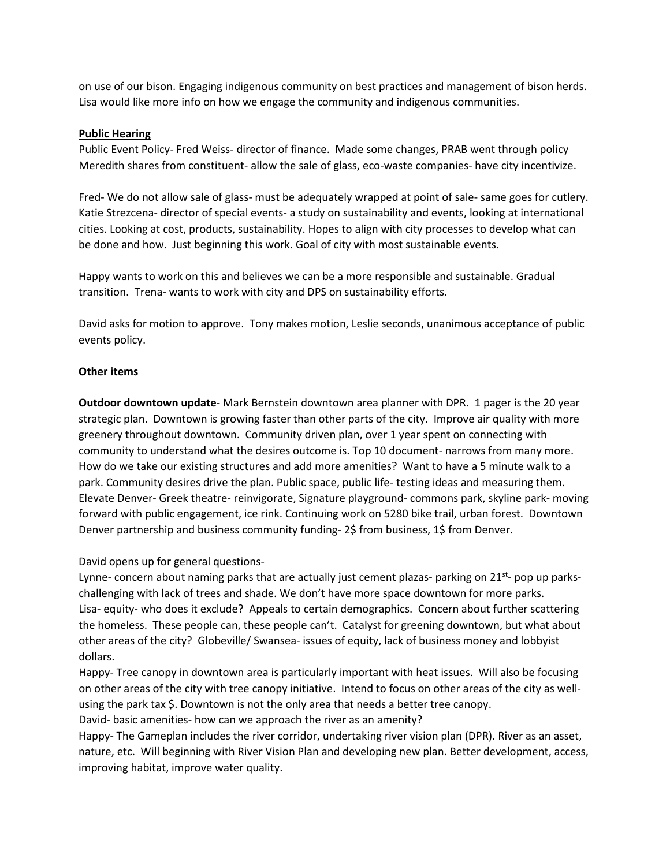on use of our bison. Engaging indigenous community on best practices and management of bison herds. Lisa would like more info on how we engage the community and indigenous communities.

#### **Public Hearing**

Public Event Policy- Fred Weiss- director of finance. Made some changes, PRAB went through policy Meredith shares from constituent- allow the sale of glass, eco-waste companies- have city incentivize.

Fred- We do not allow sale of glass- must be adequately wrapped at point of sale- same goes for cutlery. Katie Strezcena- director of special events- a study on sustainability and events, looking at international cities. Looking at cost, products, sustainability. Hopes to align with city processes to develop what can be done and how. Just beginning this work. Goal of city with most sustainable events.

Happy wants to work on this and believes we can be a more responsible and sustainable. Gradual transition. Trena- wants to work with city and DPS on sustainability efforts.

David asks for motion to approve. Tony makes motion, Leslie seconds, unanimous acceptance of public events policy.

## **Other items**

**Outdoor downtown update**- Mark Bernstein downtown area planner with DPR. 1 pager is the 20 year strategic plan. Downtown is growing faster than other parts of the city. Improve air quality with more greenery throughout downtown. Community driven plan, over 1 year spent on connecting with community to understand what the desires outcome is. Top 10 document- narrows from many more. How do we take our existing structures and add more amenities? Want to have a 5 minute walk to a park. Community desires drive the plan. Public space, public life- testing ideas and measuring them. Elevate Denver- Greek theatre- reinvigorate, Signature playground- commons park, skyline park- moving forward with public engagement, ice rink. Continuing work on 5280 bike trail, urban forest. Downtown Denver partnership and business community funding- 2\$ from business, 1\$ from Denver.

David opens up for general questions-

Lynne- concern about naming parks that are actually just cement plazas- parking on  $21^{st}$ - pop up parkschallenging with lack of trees and shade. We don't have more space downtown for more parks. Lisa- equity- who does it exclude? Appeals to certain demographics. Concern about further scattering the homeless. These people can, these people can't. Catalyst for greening downtown, but what about other areas of the city? Globeville/ Swansea- issues of equity, lack of business money and lobbyist dollars.

Happy- Tree canopy in downtown area is particularly important with heat issues. Will also be focusing on other areas of the city with tree canopy initiative. Intend to focus on other areas of the city as wellusing the park tax \$. Downtown is not the only area that needs a better tree canopy.

David- basic amenities- how can we approach the river as an amenity?

Happy- The Gameplan includes the river corridor, undertaking river vision plan (DPR). River as an asset, nature, etc. Will beginning with River Vision Plan and developing new plan. Better development, access, improving habitat, improve water quality.